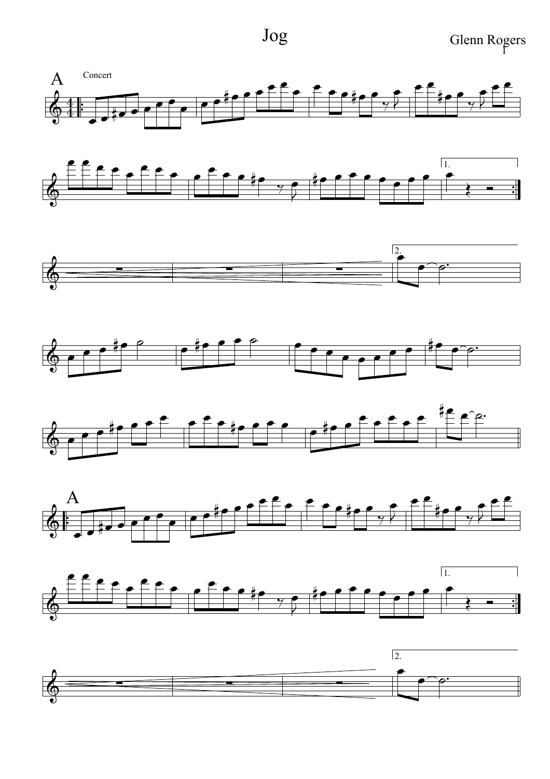Jog